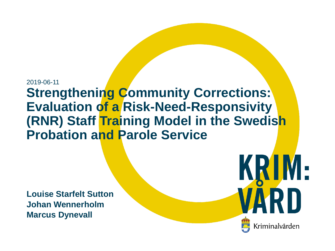#### 2019-06-11 **Strengthening Community Corrections: Evaluation of a Risk-Need-Responsivity (RNR) Staff Training Model in the Swedish Probation and Parole Service**

**Louise Starfelt Sutton Johan Wennerholm Marcus Dynevall**

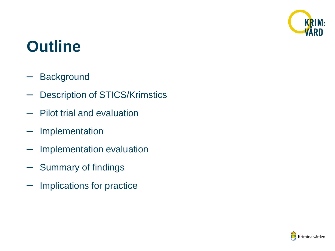

#### **Outline**

- Background
- Description of STICS/Krimstics
- Pilot trial and evaluation
- **Implementation**
- Implementation evaluation
- Summary of findings
- Implications for practice

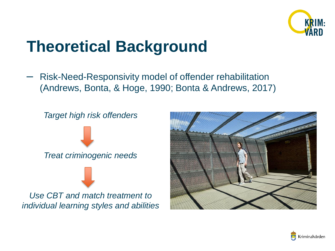

### **Theoretical Background**

– Risk-Need-Responsivity model of offender rehabilitation (Andrews, Bonta, & Hoge, 1990; Bonta & Andrews, 2017)





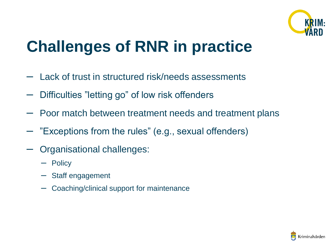

### **Challenges of RNR in practice**

- Lack of trust in structured risk/needs assessments
- Difficulties "letting go" of low risk offenders
- Poor match between treatment needs and treatment plans
- "Exceptions from the rules" (e.g., sexual offenders)
- Organisational challenges:
	- Policy
	- Staff engagement
	- Coaching/clinical support for maintenance

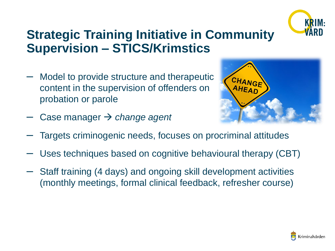

#### **Strategic Training Initiative in Community Supervision – STICS/Krimstics**

- Model to provide structure and therapeutic content in the supervision of offenders on probation or parole
- CHANGE AHEAD
- Case manager *change agent*
- Targets criminogenic needs, focuses on procriminal attitudes
- Uses techniques based on cognitive behavioural therapy (CBT)
- Staff training (4 days) and ongoing skill development activities (monthly meetings, formal clinical feedback, refresher course)

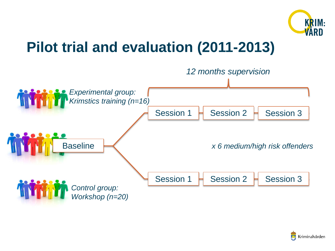

#### **Pilot trial and evaluation (2011-2013)**



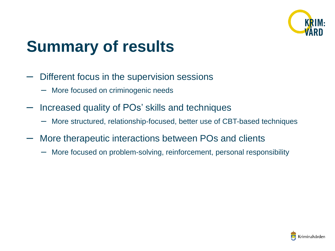

### **Summary of results**

- Different focus in the supervision sessions
	- More focused on criminogenic needs
- Increased quality of POs' skills and techniques
	- More structured, relationship-focused, better use of CBT-based techniques
- More therapeutic interactions between POs and clients
	- More focused on problem-solving, reinforcement, personal responsibility

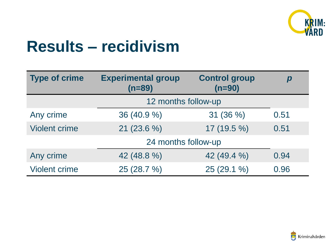

#### **Results – recidivism**

| <b>Type of crime</b> | <b>Experimental group</b><br>$(n=89)$ | <b>Control group</b><br>$(n=90)$ |      |  |  |  |  |
|----------------------|---------------------------------------|----------------------------------|------|--|--|--|--|
|                      |                                       | 12 months follow-up              |      |  |  |  |  |
| Any crime            | 36 (40.9 %)                           | 31(36%)                          | 0.51 |  |  |  |  |
| <b>Violent crime</b> | $21(23.6\%)$                          | 17 (19.5 %)                      | 0.51 |  |  |  |  |
|                      | 24 months follow-up                   |                                  |      |  |  |  |  |
| Any crime            | 42 (48.8 %)                           | 42 (49.4 %)                      | 0.94 |  |  |  |  |
| <b>Violent crime</b> | 25 (28.7 %)                           | 25 (29.1 %)                      | 0.96 |  |  |  |  |

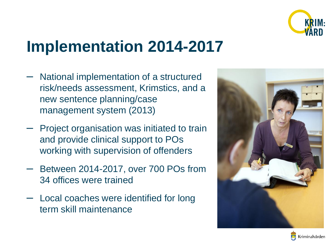

### **Implementation 2014-2017**

- National implementation of a structured risk/needs assessment, Krimstics, and a new sentence planning/case management system (2013)
- Project organisation was initiated to train and provide clinical support to POs working with supervision of offenders
- Between 2014-2017, over 700 POs from 34 offices were trained
- Local coaches were identified for long term skill maintenance



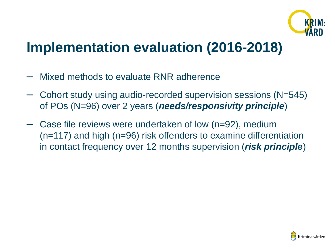

#### **Implementation evaluation (2016-2018)**

- Mixed methods to evaluate RNR adherence
- Cohort study using audio-recorded supervision sessions (N=545) of POs (N=96) over 2 years (*needs/responsivity principle*)
- Case file reviews were undertaken of low (n=92), medium (n=117) and high (n=96) risk offenders to examine differentiation in contact frequency over 12 months supervision (*risk principle*)

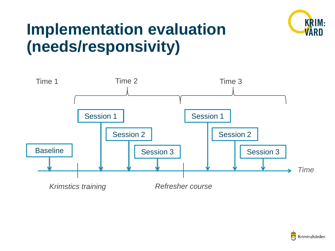

### **Implementation evaluation (needs/responsivity)**



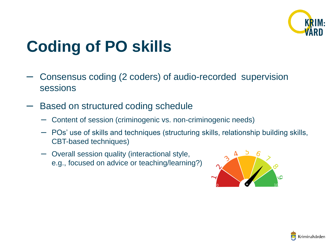

## **Coding of PO skills**

- Consensus coding (2 coders) of audio-recorded supervision sessions
- Based on structured coding schedule
	- Content of session (criminogenic vs. non-criminogenic needs)
	- POs' use of skills and techniques (structuring skills, relationship building skills, CBT-based techniques)
	- Overall session quality (interactional style, e.g., focused on advice or teaching/learning?)



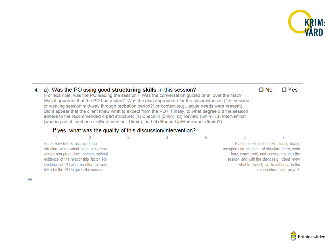

#### 4. a) Was the PO using good structuring skills in this session?

(For example, was the PO leading the session? Was the conversation guided or all over the map? Was it apparent that the PO had a plan? Was the plan appropriate for the circumstances (first session or working session mid-way through probation period?) or context (e.g., acute needs were present). Did it appear that the client knew what to expect from the PO? Finally, to what degree did the session adhere to the recommended 4-part structure: (1) Check-in (5min), (2) Review (5min), (3) Intervention (working on at least one skill/intervention; 15min), and (4) Round-Up/Homework (5min)?)

#### If yes, what was the quality of this discussion/intervention?

| Either very little structure, or the |                                                                                  |  |                                                  | PO demonstrated the structuring factor,    |
|--------------------------------------|----------------------------------------------------------------------------------|--|--------------------------------------------------|--------------------------------------------|
|                                      | structure was evident but in a coercive<br>and/or non-productive manner, without |  | incorporating elements of structure (intro, work | time, conclusion) and consistency into the |
|                                      | evidence of the relationship factor. No                                          |  | session and with the client (e.g., client knew   |                                            |
|                                      | evidence of PO plan, no effort (or very                                          |  |                                                  | what to expect), while adhering to the     |
|                                      | little) by the PO to guide the session.                                          |  |                                                  | relationship factor as well.               |

 $\Box$  No  $\sqcap$  Yes

 $\ddot{}$ 

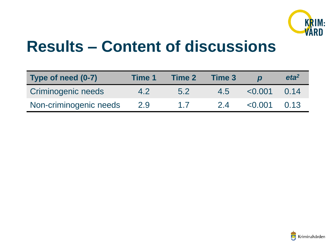

#### **Results – Content of discussions**

| Type of need (0-7)     | Time 1 | <b>Time 2</b>  | Time 3 |             | eta <sup>2</sup> |
|------------------------|--------|----------------|--------|-------------|------------------|
| Criminogenic needs     | 4.2    | 5.2            | 4.5    | $\le 0.001$ | 0.14             |
| Non-criminogenic needs | 2.9    | $\overline{1}$ | 24     | < 0.001     | 0.13             |

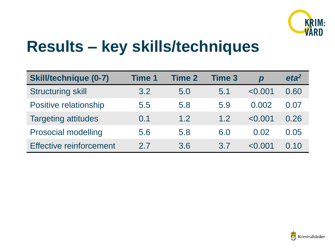

### **Results – key skills/techniques**

| <b>Skill/technique (0-7)</b>   | Time 1 | Time 2 | <b>Time 3</b> | $\boldsymbol{p}$ | eta <sup>2</sup> |
|--------------------------------|--------|--------|---------------|------------------|------------------|
| <b>Structuring skill</b>       | 3.2    | 5.0    | 5.1           | < 0.001          | 0.60             |
| Positive relationship          | 5.5    | 5.8    | 5.9           | 0.002            | 0.07             |
| <b>Targeting attitudes</b>     | 0.1    | 1.2    | 1.2           | < 0.001          | 0.26             |
| <b>Prosocial modelling</b>     | 5.6    | 5.8    | 6.0           | 0.02             | 0.05             |
| <b>Effective reinforcement</b> | 2.7    | 3.6    | 3.7           | < 0.001          | 0.10             |

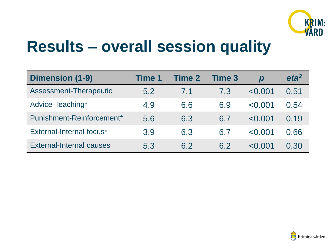

#### **Results – overall session quality**

| <b>Dimension (1-9)</b>          | <b>Time 1</b> | <b>Time 2</b> | <b>Time 3</b> | $\boldsymbol{D}$ | eta <sup>2</sup> |
|---------------------------------|---------------|---------------|---------------|------------------|------------------|
| Assessment-Therapeutic          | 5.2           | 7.1           | 7.3           | < 0.001          | 0.51             |
| Advice-Teaching*                | 4.9           | 6.6           | 6.9           | < 0.001          | 0.54             |
| Punishment-Reinforcement*       | 5.6           | 6.3           | 6.7           | < 0.001          | 0.19             |
| External-Internal focus*        | 3.9           | 6.3           | 6.7           | < 0.001          | 0.66             |
| <b>External-Internal causes</b> | 5.3           | 6.2           | 6.2           | < 0.001          | 0.30             |

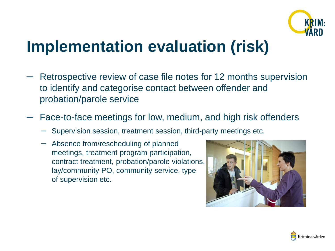

#### **Implementation evaluation (risk)**

- Retrospective review of case file notes for 12 months supervision to identify and categorise contact between offender and probation/parole service
- Face-to-face meetings for low, medium, and high risk offenders
	- Supervision session, treatment session, third-party meetings etc.
	- Absence from/rescheduling of planned meetings, treatment program participation, contract treatment, probation/parole violations, lay/community PO, community service, type of supervision etc.



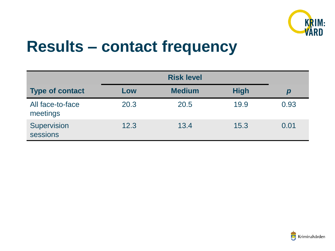

#### **Results – contact frequency**

| <b>Type of contact</b>       | Low  | <b>Medium</b> | <b>High</b> | р    |
|------------------------------|------|---------------|-------------|------|
| All face-to-face<br>meetings | 20.3 | 20.5          | 19.9        | 0.93 |
| Supervision<br>sessions      | 12.3 | 13.4          | 15.3        | 0.01 |

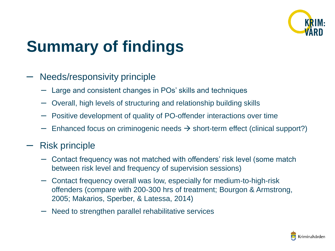

# **Summary of findings**

#### – Needs/responsivity principle

- Large and consistent changes in POs' skills and techniques
- Overall, high levels of structuring and relationship building skills
- Positive development of quality of PO-offender interactions over time
- $-$  Enhanced focus on criminogenic needs  $\rightarrow$  short-term effect (clinical support?)

#### – Risk principle

- Contact frequency was not matched with offenders' risk level (some match between risk level and frequency of supervision sessions)
- Contact frequency overall was low, especially for medium-to-high-risk offenders (compare with 200-300 hrs of treatment; Bourgon & Armstrong, 2005; Makarios, Sperber, & Latessa, 2014)
- Need to strengthen parallel rehabilitative services

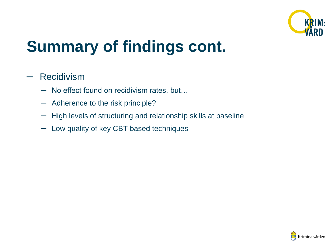

## **Summary of findings cont.**

#### – Recidivism

- No effect found on recidivism rates, but…
- Adherence to the risk principle?
- High levels of structuring and relationship skills at baseline
- Low quality of key CBT-based techniques

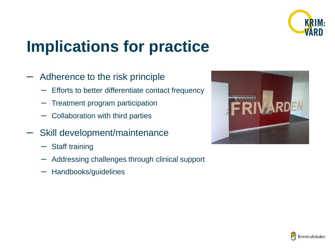

### **Implications for practice**

- Adherence to the risk principle
	- Efforts to better differentiate contact frequency
	- Treatment program participation
	- Collaboration with third parties
- Skill development/maintenance
	- Staff training
	- Addressing challenges through clinical support
	- Handbooks/guidelines



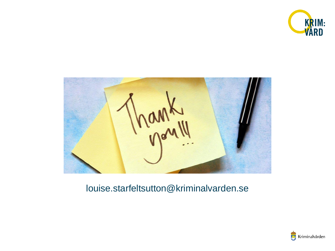



#### louise.starfeltsutton@kriminalvarden.se